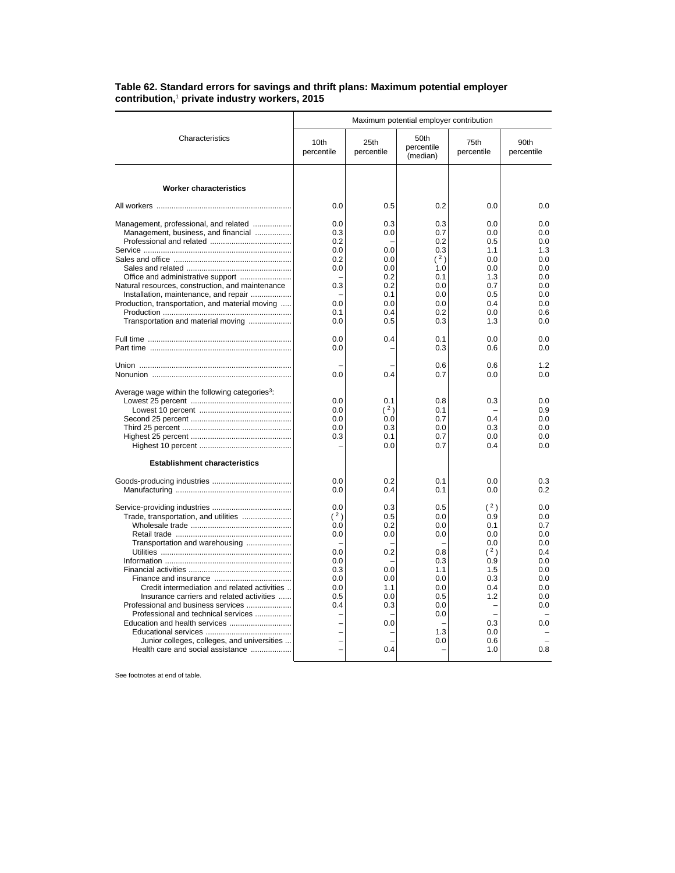## **Table 62. Standard errors for savings and thrift plans: Maximum potential employer contribution,**<sup>1</sup>  **private industry workers, 2015**

|                                                                                                                                                                                                                                                                                                                                                                       | Maximum potential employer contribution                                   |                                                                                  |                                                                                                |                                                                                                       |                                                                                                |  |
|-----------------------------------------------------------------------------------------------------------------------------------------------------------------------------------------------------------------------------------------------------------------------------------------------------------------------------------------------------------------------|---------------------------------------------------------------------------|----------------------------------------------------------------------------------|------------------------------------------------------------------------------------------------|-------------------------------------------------------------------------------------------------------|------------------------------------------------------------------------------------------------|--|
| Characteristics                                                                                                                                                                                                                                                                                                                                                       | 10th<br>percentile                                                        | 25th<br>percentile                                                               | 50th<br>percentile<br>(median)                                                                 | 75th<br>percentile                                                                                    | 90th<br>percentile                                                                             |  |
| <b>Worker characteristics</b>                                                                                                                                                                                                                                                                                                                                         |                                                                           |                                                                                  |                                                                                                |                                                                                                       |                                                                                                |  |
|                                                                                                                                                                                                                                                                                                                                                                       | 0.0                                                                       | 0.5                                                                              | 0.2                                                                                            | 0.0                                                                                                   | 0.0                                                                                            |  |
| Management, professional, and related<br>Management, business, and financial<br>Natural resources, construction, and maintenance<br>Installation, maintenance, and repair<br>Production, transportation, and material moving                                                                                                                                          | 0.0<br>0.3<br>0.2<br>0.0<br>0.2<br>0.0<br>0.3<br>0.0                      | 0.3<br>0.0<br>0.0<br>0.0<br>0.0<br>0.2<br>0.2<br>0.1<br>0.0                      | 0.3<br>0.7<br>0.2<br>0.3<br>(2)<br>1.0<br>0.1<br>0.0<br>0.0<br>0.0                             | 0.0<br>0.0<br>0.5<br>1.1<br>0.0<br>0.0<br>1.3<br>0.7<br>0.5<br>0.4                                    | 0.0<br>0.0<br>0.0<br>1.3<br>0.0<br>0.0<br>0.0<br>0.0<br>0.0<br>0.0                             |  |
| Transportation and material moving                                                                                                                                                                                                                                                                                                                                    | 0.1<br>0.0                                                                | 0.4<br>0.5                                                                       | 0.2<br>0.3                                                                                     | 0.0<br>1.3                                                                                            | 0.6<br>0.0                                                                                     |  |
|                                                                                                                                                                                                                                                                                                                                                                       | 0.0<br>0.0                                                                | 0.4                                                                              | 0.1<br>0.3                                                                                     | 0.0<br>0.6                                                                                            | 0.0<br>0.0                                                                                     |  |
|                                                                                                                                                                                                                                                                                                                                                                       | 0.0                                                                       | 0.4                                                                              | 0.6<br>0.7                                                                                     | 0.6<br>0.0                                                                                            | 1.2<br>0.0                                                                                     |  |
| Average wage within the following categories <sup>3</sup> :                                                                                                                                                                                                                                                                                                           | 0.0<br>0.0<br>0.0<br>0.0<br>0.3                                           | 0.1<br>(2)<br>0.0<br>0.3<br>0.1<br>0.0                                           | 0.8<br>0.1<br>0.7<br>0.0<br>0.7<br>0.7                                                         | 0.3<br>0.4<br>0.3<br>0.0<br>0.4                                                                       | 0.0<br>0.9<br>0.0<br>0.0<br>0.0<br>0.0                                                         |  |
| <b>Establishment characteristics</b>                                                                                                                                                                                                                                                                                                                                  | 0.0<br>0.0                                                                | 0.2<br>0.4                                                                       | 0.1<br>0.1                                                                                     | 0.0<br>0.0                                                                                            | 0.3<br>0.2                                                                                     |  |
| Trade, transportation, and utilities<br>Transportation and warehousing<br>Credit intermediation and related activities<br>Insurance carriers and related activities<br>Professional and business services<br>Professional and technical services<br>Education and health services<br>Junior colleges, colleges, and universities<br>Health care and social assistance | 0.0<br>(2)<br>0.0<br>0.0<br>0.0<br>0.0<br>0.3<br>0.0<br>0.0<br>0.5<br>0.4 | 0.3<br>0.5<br>0.2<br>0.0<br>0.2<br>0.0<br>0.0<br>1.1<br>0.0<br>0.3<br>0.0<br>0.4 | 0.5<br>0.0<br>0.0<br>0.0<br>0.8<br>0.3<br>1.1<br>0.0<br>0.0<br>0.5<br>0.0<br>0.0<br>1.3<br>0.0 | (2)<br>0.9<br>0.1<br>0.0<br>0.0<br>(2)<br>0.9<br>1.5<br>0.3<br>0.4<br>1.2<br>0.3<br>0.0<br>0.6<br>1.0 | 0.0<br>0.0<br>0.7<br>0.0<br>0.0<br>0.4<br>0.0<br>0.0<br>0.0<br>0.0<br>0.0<br>0.0<br>0.0<br>0.8 |  |

See footnotes at end of table.